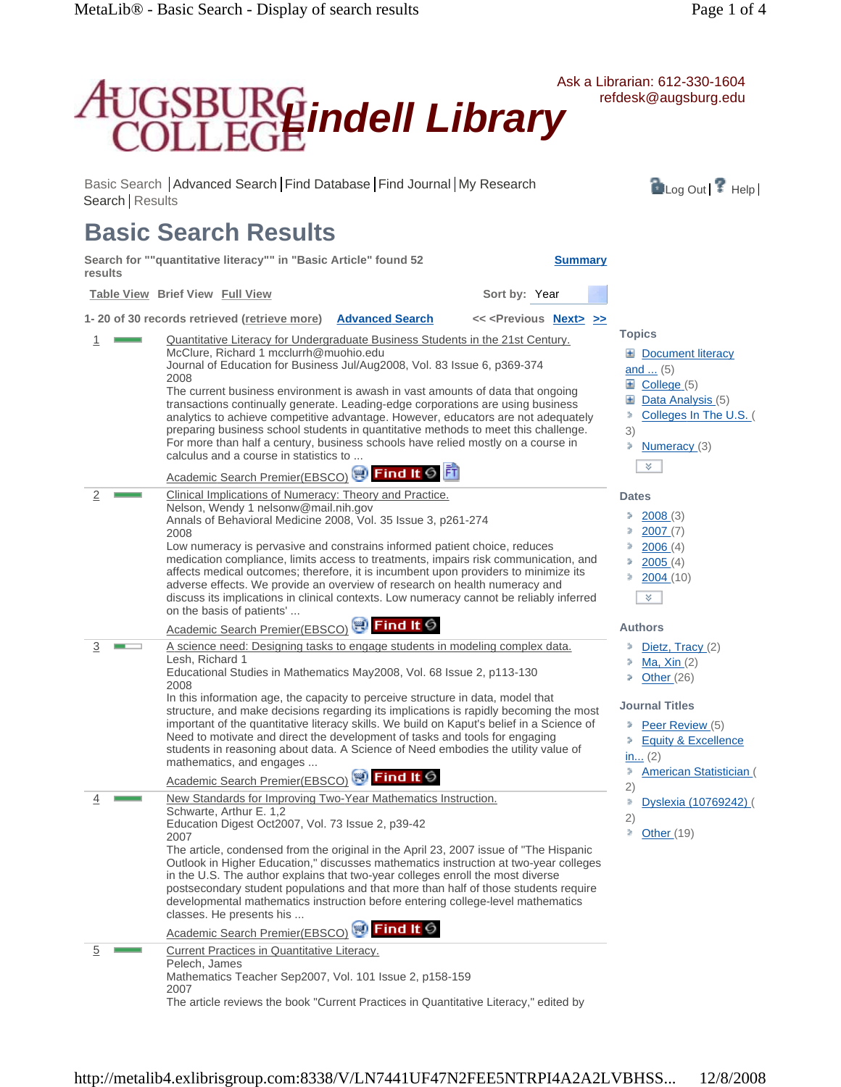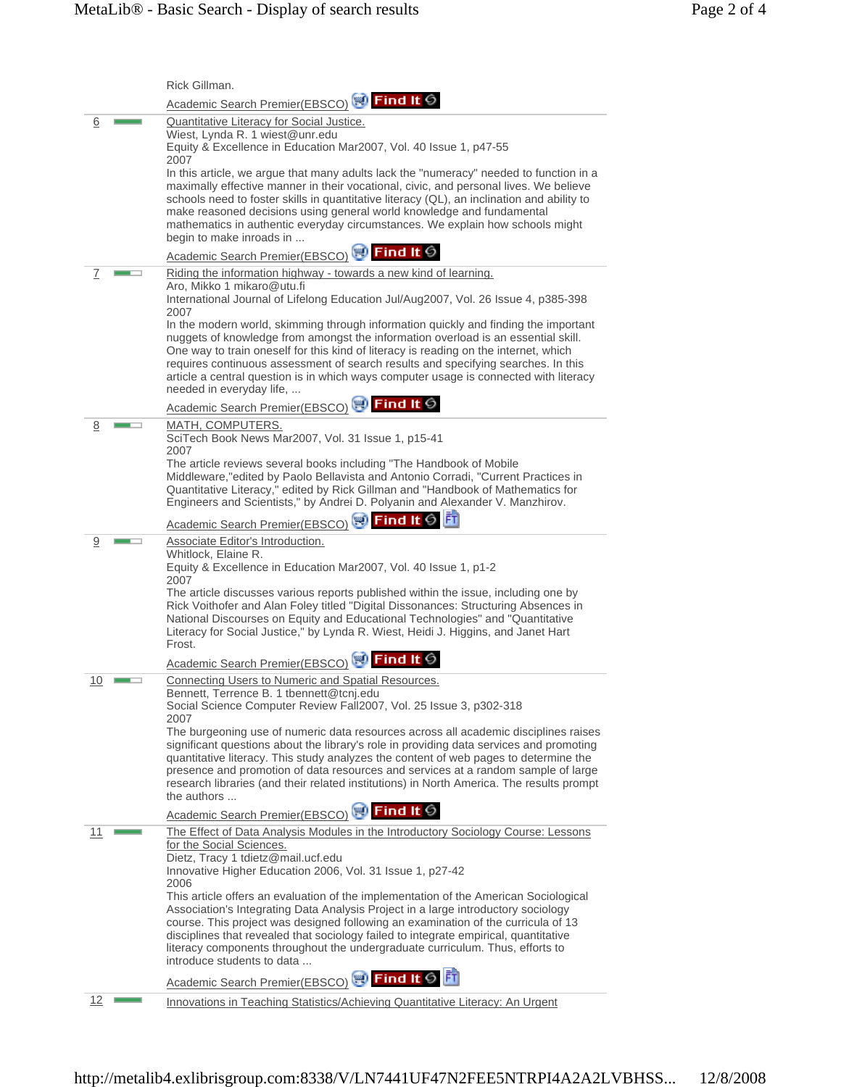|           | Rick Gillman.                                                                                                                                                                                                                                                                                                                                                                                                                                                                  |
|-----------|--------------------------------------------------------------------------------------------------------------------------------------------------------------------------------------------------------------------------------------------------------------------------------------------------------------------------------------------------------------------------------------------------------------------------------------------------------------------------------|
|           | Academic Search Premier(EBSCO) N Find It G                                                                                                                                                                                                                                                                                                                                                                                                                                     |
| 6         | <b>Quantitative Literacy for Social Justice.</b><br>Wiest, Lynda R. 1 wiest@unr.edu<br>Equity & Excellence in Education Mar2007, Vol. 40 Issue 1, p47-55                                                                                                                                                                                                                                                                                                                       |
|           | 2007<br>In this article, we argue that many adults lack the "numeracy" needed to function in a<br>maximally effective manner in their vocational, civic, and personal lives. We believe<br>schools need to foster skills in quantitative literacy (QL), an inclination and ability to<br>make reasoned decisions using general world knowledge and fundamental<br>mathematics in authentic everyday circumstances. We explain how schools might<br>begin to make inroads in    |
|           | Academic Search Premier(EBSCO) N Find It S                                                                                                                                                                                                                                                                                                                                                                                                                                     |
| Ζ         | Riding the information highway - towards a new kind of learning.<br>Aro, Mikko 1 mikaro@utu.fi<br>International Journal of Lifelong Education Jul/Aug2007, Vol. 26 Issue 4, p385-398<br>2007                                                                                                                                                                                                                                                                                   |
|           | In the modern world, skimming through information quickly and finding the important<br>nuggets of knowledge from amongst the information overload is an essential skill.<br>One way to train oneself for this kind of literacy is reading on the internet, which<br>requires continuous assessment of search results and specifying searches. In this<br>article a central question is in which ways computer usage is connected with literacy<br>needed in everyday life,     |
|           | Academic Search Premier(EBSCO) SJ Find It G                                                                                                                                                                                                                                                                                                                                                                                                                                    |
| 8         | MATH, COMPUTERS.<br>SciTech Book News Mar2007, Vol. 31 Issue 1, p15-41<br>2007                                                                                                                                                                                                                                                                                                                                                                                                 |
|           | The article reviews several books including "The Handbook of Mobile<br>Middleware, "edited by Paolo Bellavista and Antonio Corradi, "Current Practices in<br>Quantitative Literacy," edited by Rick Gillman and "Handbook of Mathematics for<br>Engineers and Scientists," by Andrei D. Polyanin and Alexander V. Manzhirov.                                                                                                                                                   |
|           | Academic Search Premier(EBSCO) <b>Refind It 6</b>                                                                                                                                                                                                                                                                                                                                                                                                                              |
| 9         | Associate Editor's Introduction.<br>Whitlock, Elaine R.<br>Equity & Excellence in Education Mar2007, Vol. 40 Issue 1, p1-2<br>2007                                                                                                                                                                                                                                                                                                                                             |
|           | The article discusses various reports published within the issue, including one by<br>Rick Voithofer and Alan Foley titled "Digital Dissonances: Structuring Absences in<br>National Discourses on Equity and Educational Technologies" and "Quantitative<br>Literacy for Social Justice," by Lynda R. Wiest, Heidi J. Higgins, and Janet Hart<br>Frost.                                                                                                                       |
|           | Academic Search Premier(EBSCO)                                                                                                                                                                                                                                                                                                                                                                                                                                                 |
| <u>10</u> | Connecting Users to Numeric and Spatial Resources.<br>Bennett, Terrence B. 1 tbennett@tcnj.edu<br>Social Science Computer Review Fall2007, Vol. 25 Issue 3, p302-318                                                                                                                                                                                                                                                                                                           |
|           | 2007<br>The burgeoning use of numeric data resources across all academic disciplines raises<br>significant questions about the library's role in providing data services and promoting<br>quantitative literacy. This study analyzes the content of web pages to determine the<br>presence and promotion of data resources and services at a random sample of large<br>research libraries (and their related institutions) in North America. The results prompt<br>the authors |
|           | Academic Search Premier(EBSCO) <b>Find It S</b>                                                                                                                                                                                                                                                                                                                                                                                                                                |
| 11        | The Effect of Data Analysis Modules in the Introductory Sociology Course: Lessons<br>for the Social Sciences.<br>Dietz, Tracy 1 tdietz@mail.ucf.edu<br>Innovative Higher Education 2006, Vol. 31 Issue 1, p27-42<br>2006                                                                                                                                                                                                                                                       |
|           | This article offers an evaluation of the implementation of the American Sociological<br>Association's Integrating Data Analysis Project in a large introductory sociology<br>course. This project was designed following an examination of the curricula of 13<br>disciplines that revealed that sociology failed to integrate empirical, quantitative<br>literacy components throughout the undergraduate curriculum. Thus, efforts to<br>introduce students to data          |
|           | 計<br>Academic Search Premier(EBSCO) <b>Solution Find It 6</b>                                                                                                                                                                                                                                                                                                                                                                                                                  |
| <u>12</u> | Innovations in Teaching Statistics/Achieving Quantitative Literacy: An Urgent                                                                                                                                                                                                                                                                                                                                                                                                  |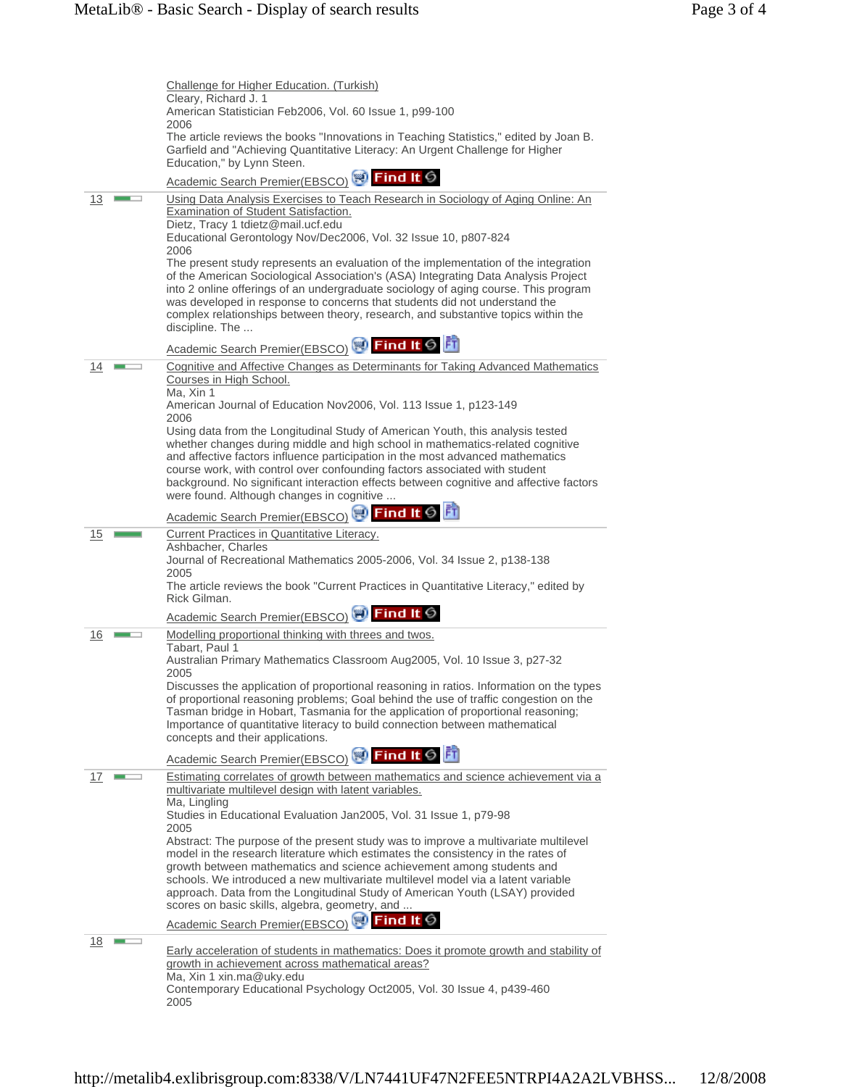|    | Challenge for Higher Education. (Turkish)                                                                                                                                                                                                                                                                                                                                                                                                                               |
|----|-------------------------------------------------------------------------------------------------------------------------------------------------------------------------------------------------------------------------------------------------------------------------------------------------------------------------------------------------------------------------------------------------------------------------------------------------------------------------|
|    | Cleary, Richard J. 1<br>American Statistician Feb2006, Vol. 60 Issue 1, p99-100                                                                                                                                                                                                                                                                                                                                                                                         |
|    | 2006<br>The article reviews the books "Innovations in Teaching Statistics," edited by Joan B.<br>Garfield and "Achieving Quantitative Literacy: An Urgent Challenge for Higher<br>Education," by Lynn Steen.                                                                                                                                                                                                                                                            |
|    | Academic Search Premier(EBSCO) <b>So Find It G</b>                                                                                                                                                                                                                                                                                                                                                                                                                      |
| 13 | Using Data Analysis Exercises to Teach Research in Sociology of Aging Online: An<br><b>Examination of Student Satisfaction.</b><br>Dietz, Tracy 1 tdietz@mail.ucf.edu                                                                                                                                                                                                                                                                                                   |
|    | Educational Gerontology Nov/Dec2006, Vol. 32 Issue 10, p807-824<br>2006                                                                                                                                                                                                                                                                                                                                                                                                 |
|    | The present study represents an evaluation of the implementation of the integration<br>of the American Sociological Association's (ASA) Integrating Data Analysis Project<br>into 2 online offerings of an undergraduate sociology of aging course. This program<br>was developed in response to concerns that students did not understand the<br>complex relationships between theory, research, and substantive topics within the<br>discipline. The                  |
|    | Academic Search Premier(EBSCO) <b>Princil to Find II</b>                                                                                                                                                                                                                                                                                                                                                                                                                |
| 14 | Cognitive and Affective Changes as Determinants for Taking Advanced Mathematics<br>Courses in High School.<br>Ma, Xin 1                                                                                                                                                                                                                                                                                                                                                 |
|    | American Journal of Education Nov2006, Vol. 113 Issue 1, p123-149<br>2006                                                                                                                                                                                                                                                                                                                                                                                               |
|    | Using data from the Longitudinal Study of American Youth, this analysis tested<br>whether changes during middle and high school in mathematics-related cognitive<br>and affective factors influence participation in the most advanced mathematics<br>course work, with control over confounding factors associated with student<br>background. No significant interaction effects between cognitive and affective factors<br>were found. Although changes in cognitive |
|    | Academic Search Premier(EBSCO) <b>Princil to Find II</b>                                                                                                                                                                                                                                                                                                                                                                                                                |
| 15 | Current Practices in Quantitative Literacy.<br>Ashbacher, Charles<br>Journal of Recreational Mathematics 2005-2006, Vol. 34 Issue 2, p138-138<br>2005                                                                                                                                                                                                                                                                                                                   |
|    | The article reviews the book "Current Practices in Quantitative Literacy," edited by<br>Rick Gilman.                                                                                                                                                                                                                                                                                                                                                                    |
|    | Academic Search Premier(EBSCO) N Find It S                                                                                                                                                                                                                                                                                                                                                                                                                              |
| 16 | Modelling proportional thinking with threes and twos.<br>Tabart, Paul 1<br>Australian Primary Mathematics Classroom Aug2005, Vol. 10 Issue 3, p27-32                                                                                                                                                                                                                                                                                                                    |
|    | 2005<br>Discusses the application of proportional reasoning in ratios. Information on the types<br>of proportional reasoning problems; Goal behind the use of traffic congestion on the<br>Tasman bridge in Hobart, Tasmania for the application of proportional reasoning;<br>Importance of quantitative literacy to build connection between mathematical<br>concepts and their applications.                                                                         |
|    | Academic Search Premier(EBSCO) <b>OF</b> Find It <b>S</b>                                                                                                                                                                                                                                                                                                                                                                                                               |
| 17 | Estimating correlates of growth between mathematics and science achievement via a<br>multivariate multilevel design with latent variables.<br>Ma, Lingling                                                                                                                                                                                                                                                                                                              |
|    | Studies in Educational Evaluation Jan2005, Vol. 31 Issue 1, p79-98<br>2005                                                                                                                                                                                                                                                                                                                                                                                              |
|    | Abstract: The purpose of the present study was to improve a multivariate multilevel<br>model in the research literature which estimates the consistency in the rates of<br>growth between mathematics and science achievement among students and<br>schools. We introduced a new multivariate multilevel model via a latent variable<br>approach. Data from the Longitudinal Study of American Youth (LSAY) provided<br>scores on basic skills, algebra, geometry, and  |
|    | Academic Search Premier(EBSCO) <b>Prind It S</b>                                                                                                                                                                                                                                                                                                                                                                                                                        |
| 18 | <b>Early acceleration of students in mathematics: Does it promote growth and stability of</b><br>growth in achievement across mathematical areas?                                                                                                                                                                                                                                                                                                                       |
|    | Ma, Xin 1 xin.ma@uky.edu<br>Contemporary Educational Psychology Oct2005, Vol. 30 Issue 4, p439-460<br>2005                                                                                                                                                                                                                                                                                                                                                              |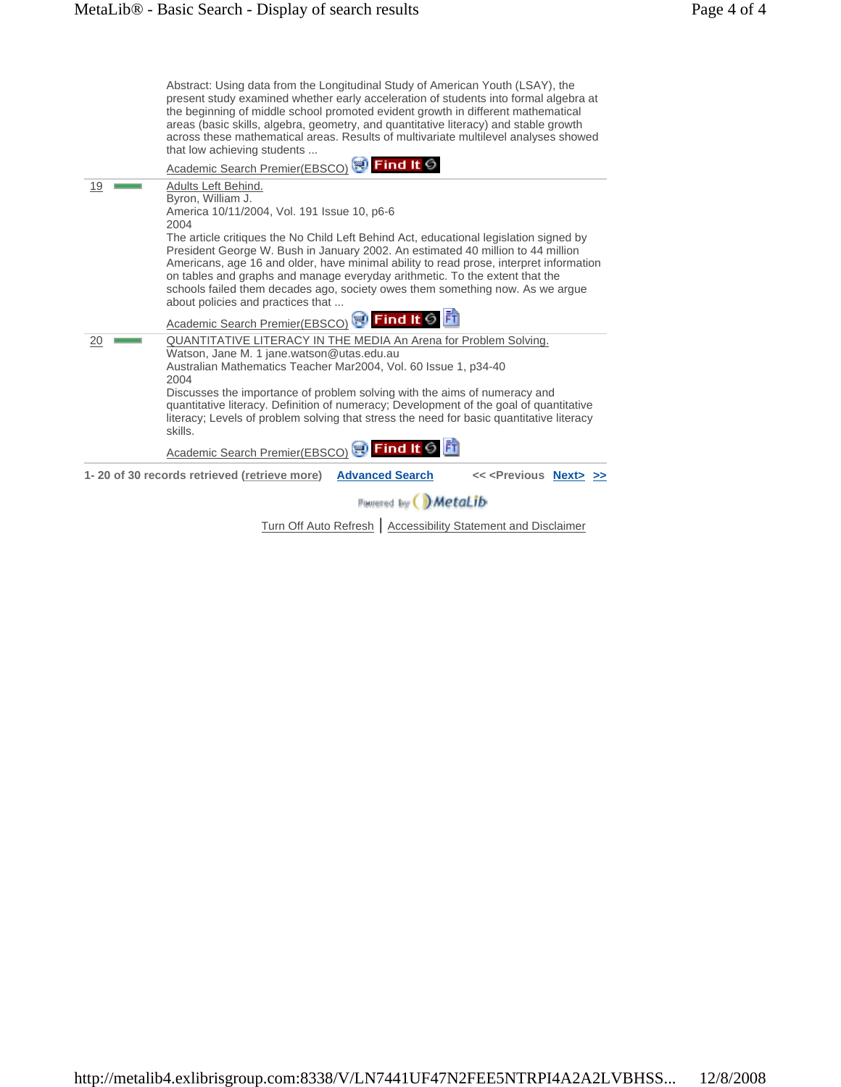|    | Abstract: Using data from the Longitudinal Study of American Youth (LSAY), the<br>present study examined whether early acceleration of students into formal algebra at<br>the beginning of middle school promoted evident growth in different mathematical<br>areas (basic skills, algebra, geometry, and quantitative literacy) and stable growth<br>across these mathematical areas. Results of multivariate multilevel analyses showed<br>that low achieving students |
|----|--------------------------------------------------------------------------------------------------------------------------------------------------------------------------------------------------------------------------------------------------------------------------------------------------------------------------------------------------------------------------------------------------------------------------------------------------------------------------|
|    | Academic Search Premier(EBSCO) 3 Find It S                                                                                                                                                                                                                                                                                                                                                                                                                               |
| 19 | Adults Left Behind.<br>Byron, William J.<br>America 10/11/2004, Vol. 191 Issue 10, p6-6<br>2004<br>The article critiques the No Child Left Behind Act, educational legislation signed by                                                                                                                                                                                                                                                                                 |
|    | President George W. Bush in January 2002. An estimated 40 million to 44 million<br>Americans, age 16 and older, have minimal ability to read prose, interpret information<br>on tables and graphs and manage everyday arithmetic. To the extent that the<br>schools failed them decades ago, society owes them something now. As we argue<br>about policies and practices that<br>Academic Search Premier(EBSCO) <b>Princil It G</b>                                     |
|    |                                                                                                                                                                                                                                                                                                                                                                                                                                                                          |
| 20 | QUANTITATIVE LITERACY IN THE MEDIA An Arena for Problem Solving.<br>Watson, Jane M. 1 jane.watson@utas.edu.au<br>Australian Mathematics Teacher Mar2004, Vol. 60 Issue 1, p34-40<br>2004                                                                                                                                                                                                                                                                                 |
|    | Discusses the importance of problem solving with the aims of numeracy and<br>quantitative literacy. Definition of numeracy; Development of the goal of quantitative<br>literacy; Levels of problem solving that stress the need for basic quantitative literacy<br>skills.                                                                                                                                                                                               |
|    | Academic Search Premier(EBSCO) <b>Princil It 6</b>                                                                                                                                                                                                                                                                                                                                                                                                                       |
|    | 1-20 of 30 records retrieved (retrieve more)<br><b>Advanced Search</b><br><< <previous next="">&gt;&gt;</previous>                                                                                                                                                                                                                                                                                                                                                       |
|    | Powered by WetaLib                                                                                                                                                                                                                                                                                                                                                                                                                                                       |

Turn Off Auto Refresh | Accessibility Statement and Disclaimer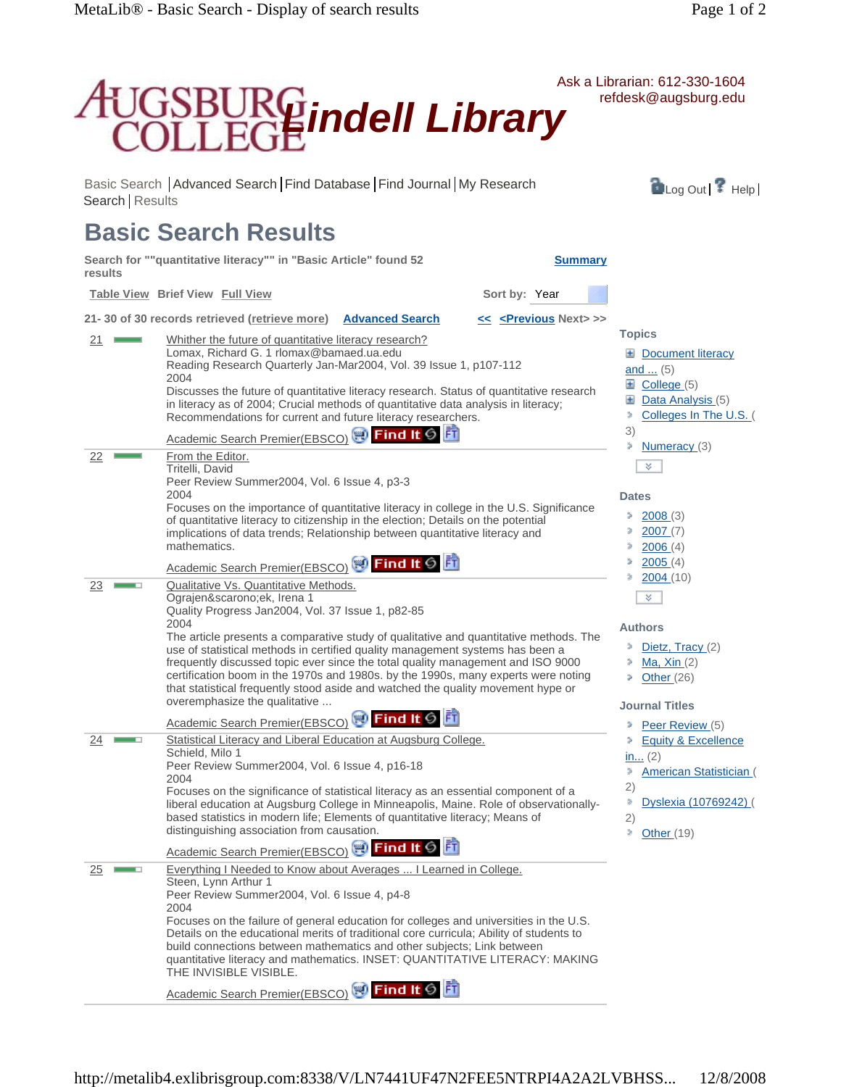